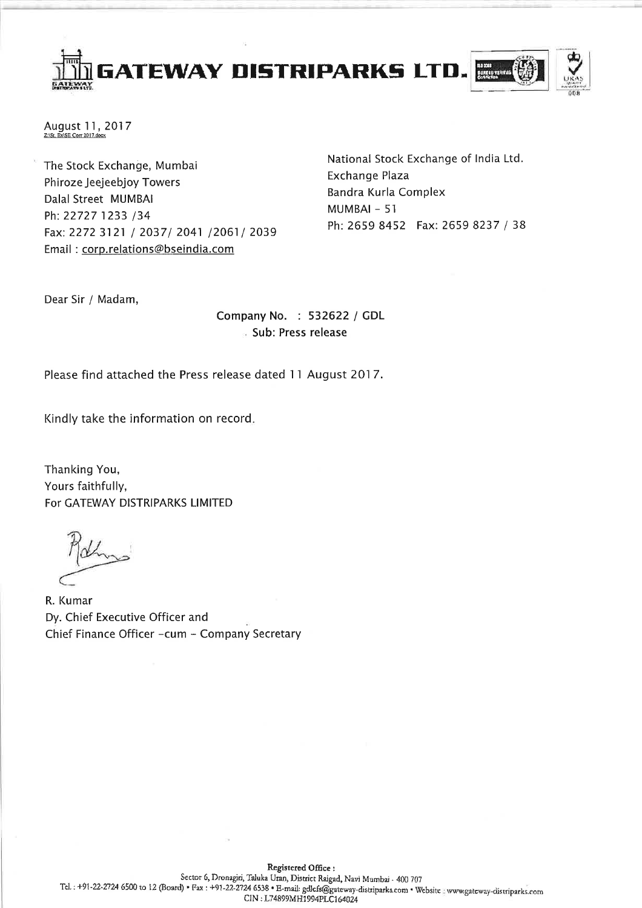GATEWAY DISTRIPARKS LTD.



August 11, 2017 Z:\St. Ex\SE Corr 2017.do

The Stock Exchange, Mumbai Phiroze Jeejeebjoy Towers Dalal Street MUMBAI Ph: 22727 1233 /34 Fax: 2272 3121 / 2037/ 2041 /2061/ 2039 Email: corp.relations@bseindia.com

National Stock Exchange of India Ltd. Exchange Plaza Bandra Kurla Complex MUMBAI - 51 Ph: 2659 8452 Fax: 2659 8237 / 38

Dear Sir / Madam,

Company No. : 532622 / GDL Sub: Press release

Please find attached the Press release dated 11 August 2017.

Kindly take the information on record.

Thanking You, Yours faithfully, For GATEWAY DISTRIPARKS LIMITED

R. Kumar Dy. Chief Executive Officer and Chief Finance Officer - cum - Company Secretary